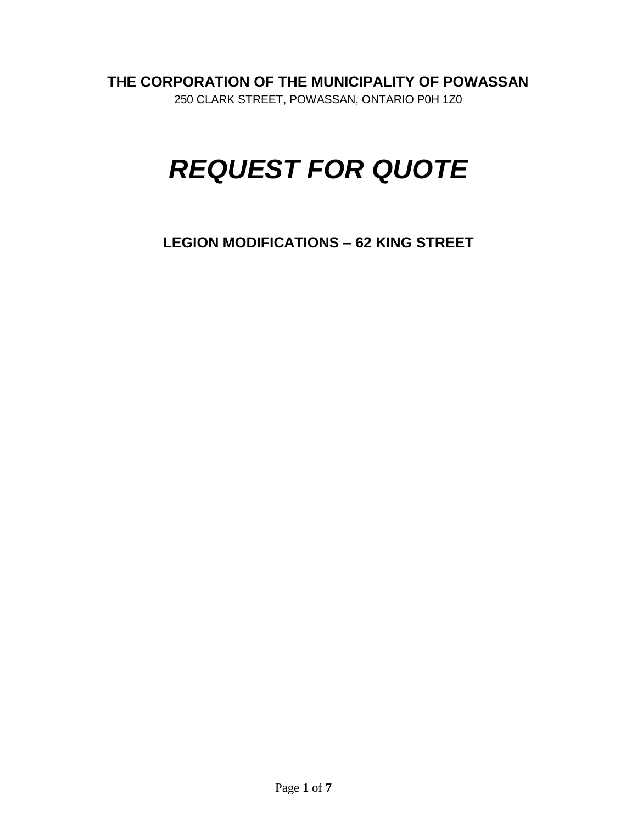**THE CORPORATION OF THE MUNICIPALITY OF POWASSAN**

250 CLARK STREET, POWASSAN, ONTARIO P0H 1Z0

# *REQUEST FOR QUOTE*

**LEGION MODIFICATIONS – 62 KING STREET**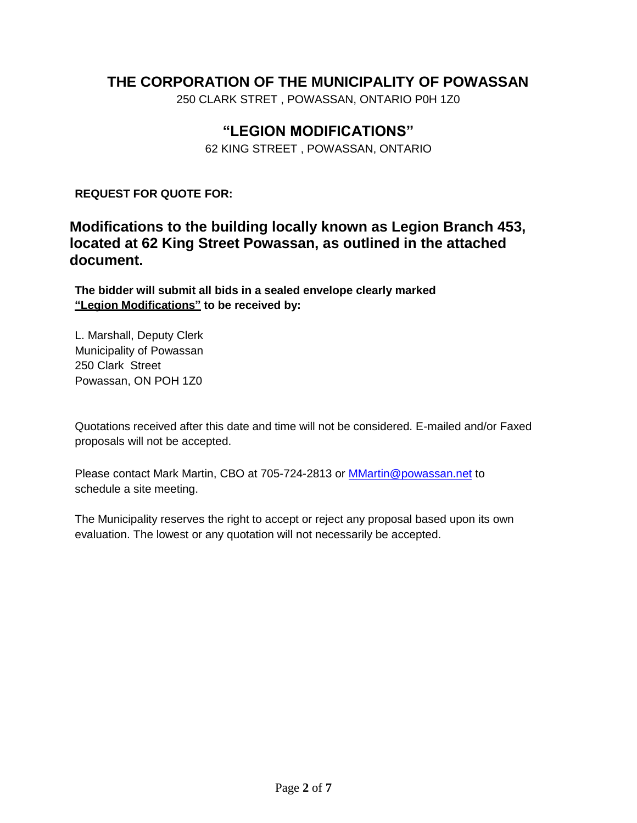# **THE CORPORATION OF THE MUNICIPALITY OF POWASSAN**

250 CLARK STRET , POWASSAN, ONTARIO P0H 1Z0

# **"LEGION MODIFICATIONS"**

62 KING STREET , POWASSAN, ONTARIO

**REQUEST FOR QUOTE FOR:**

**Modifications to the building locally known as Legion Branch 453, located at 62 King Street Powassan, as outlined in the attached document.** 

**The bidder will submit all bids in a sealed envelope clearly marked "Legion Modifications" to be received by:**

L. Marshall, Deputy Clerk Municipality of Powassan 250 Clark Street Powassan, ON POH 1Z0

Quotations received after this date and time will not be considered. E-mailed and/or Faxed proposals will not be accepted.

Please contact Mark Martin, CBO at 705-724-2813 or **[MMartin@powassan.net](mailto:MMartin@powassan.net)** to schedule a site meeting.

The Municipality reserves the right to accept or reject any proposal based upon its own evaluation. The lowest or any quotation will not necessarily be accepted.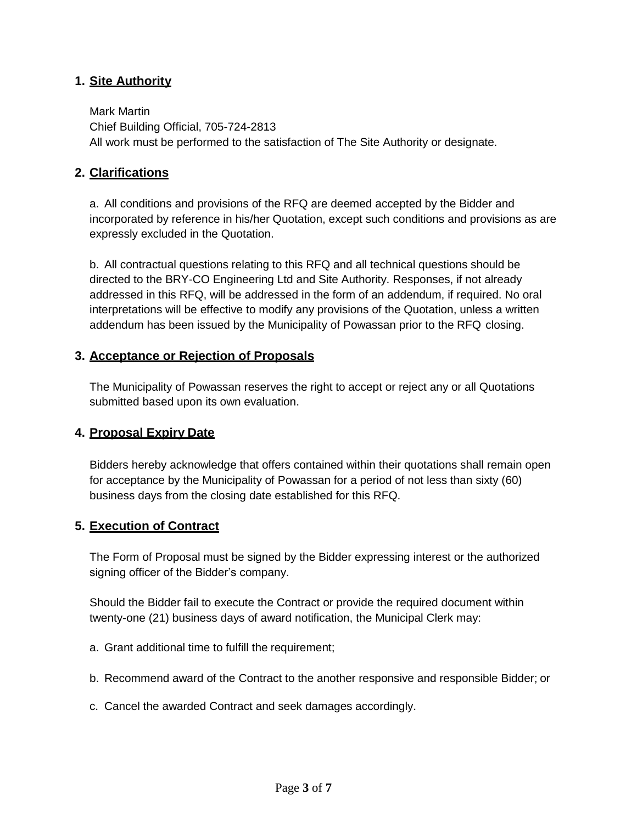#### **1. Site Authority**

Mark Martin Chief Building Official, 705-724-2813 All work must be performed to the satisfaction of The Site Authority or designate.

#### **2. Clarifications**

a. All conditions and provisions of the RFQ are deemed accepted by the Bidder and incorporated by reference in his/her Quotation, except such conditions and provisions as are expressly excluded in the Quotation.

b. All contractual questions relating to this RFQ and all technical questions should be directed to the BRY-CO Engineering Ltd and Site Authority. Responses, if not already addressed in this RFQ, will be addressed in the form of an addendum, if required. No oral interpretations will be effective to modify any provisions of the Quotation, unless a written addendum has been issued by the Municipality of Powassan prior to the RFQ closing.

#### **3. Acceptance or Rejection of Proposals**

The Municipality of Powassan reserves the right to accept or reject any or all Quotations submitted based upon its own evaluation.

#### **4. Proposal Expiry Date**

Bidders hereby acknowledge that offers contained within their quotations shall remain open for acceptance by the Municipality of Powassan for a period of not less than sixty (60) business days from the closing date established for this RFQ.

#### **5. Execution of Contract**

The Form of Proposal must be signed by the Bidder expressing interest or the authorized signing officer of the Bidder's company.

Should the Bidder fail to execute the Contract or provide the required document within twenty-one (21) business days of award notification, the Municipal Clerk may:

- a. Grant additional time to fulfill the requirement;
- b. Recommend award of the Contract to the another responsive and responsible Bidder; or
- c. Cancel the awarded Contract and seek damages accordingly.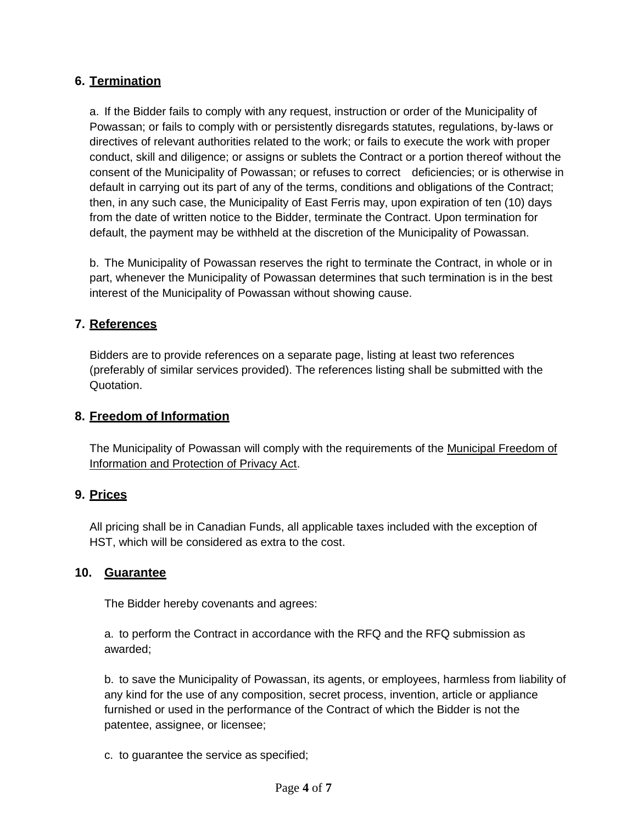#### **6. Termination**

a. If the Bidder fails to comply with any request, instruction or order of the Municipality of Powassan; or fails to comply with or persistently disregards statutes, regulations, by-laws or directives of relevant authorities related to the work; or fails to execute the work with proper conduct, skill and diligence; or assigns or sublets the Contract or a portion thereof without the consent of the Municipality of Powassan; or refuses to correct deficiencies; or is otherwise in default in carrying out its part of any of the terms, conditions and obligations of the Contract; then, in any such case, the Municipality of East Ferris may, upon expiration of ten (10) days from the date of written notice to the Bidder, terminate the Contract. Upon termination for default, the payment may be withheld at the discretion of the Municipality of Powassan.

b. The Municipality of Powassan reserves the right to terminate the Contract, in whole or in part, whenever the Municipality of Powassan determines that such termination is in the best interest of the Municipality of Powassan without showing cause.

#### **7. References**

Bidders are to provide references on a separate page, listing at least two references (preferably of similar services provided). The references listing shall be submitted with the Quotation.

#### **8. Freedom of Information**

The Municipality of Powassan will comply with the requirements of the Municipal Freedom of Information and Protection of Privacy Act.

#### **9. Prices**

All pricing shall be in Canadian Funds, all applicable taxes included with the exception of HST, which will be considered as extra to the cost.

#### **10. Guarantee**

The Bidder hereby covenants and agrees:

a. to perform the Contract in accordance with the RFQ and the RFQ submission as awarded;

b. to save the Municipality of Powassan, its agents, or employees, harmless from liability of any kind for the use of any composition, secret process, invention, article or appliance furnished or used in the performance of the Contract of which the Bidder is not the patentee, assignee, or licensee;

c. to guarantee the service as specified;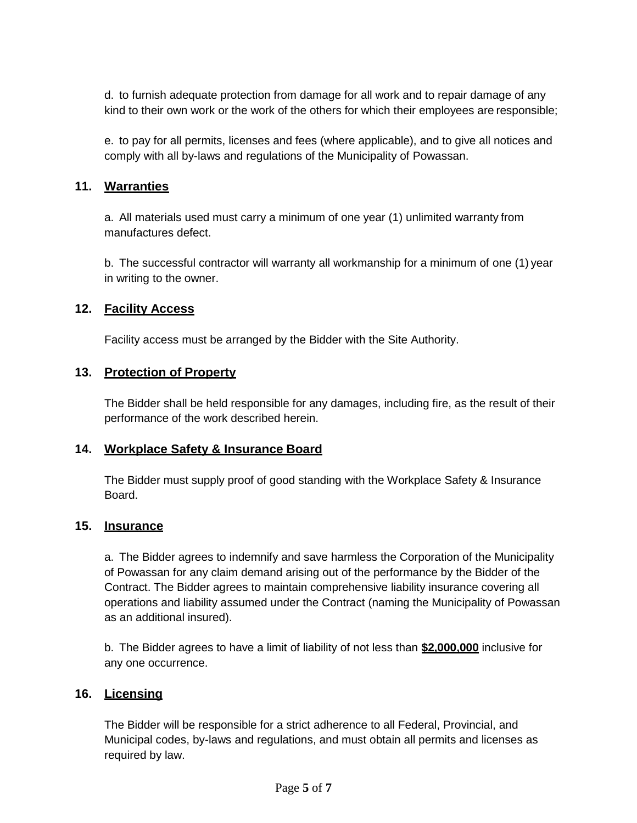d. to furnish adequate protection from damage for all work and to repair damage of any kind to their own work or the work of the others for which their employees are responsible;

e. to pay for all permits, licenses and fees (where applicable), and to give all notices and comply with all by-laws and regulations of the Municipality of Powassan.

#### **11. Warranties**

a. All materials used must carry a minimum of one year (1) unlimited warranty from manufactures defect.

b. The successful contractor will warranty all workmanship for a minimum of one (1) year in writing to the owner.

#### **12. Facility Access**

Facility access must be arranged by the Bidder with the Site Authority.

#### **13. Protection of Property**

The Bidder shall be held responsible for any damages, including fire, as the result of their performance of the work described herein.

#### **14. Workplace Safety & Insurance Board**

The Bidder must supply proof of good standing with the Workplace Safety & Insurance Board.

#### **15. Insurance**

a. The Bidder agrees to indemnify and save harmless the Corporation of the Municipality of Powassan for any claim demand arising out of the performance by the Bidder of the Contract. The Bidder agrees to maintain comprehensive liability insurance covering all operations and liability assumed under the Contract (naming the Municipality of Powassan as an additional insured).

b. The Bidder agrees to have a limit of liability of not less than **\$2,000,000** inclusive for any one occurrence.

#### **16. Licensing**

The Bidder will be responsible for a strict adherence to all Federal, Provincial, and Municipal codes, by-laws and regulations, and must obtain all permits and licenses as required by law.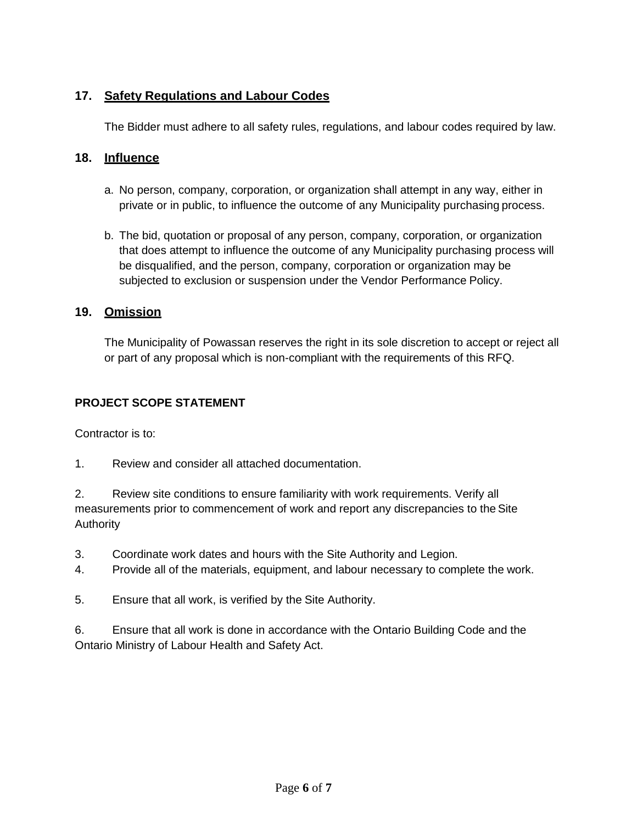### **17. Safety Regulations and Labour Codes**

The Bidder must adhere to all safety rules, regulations, and labour codes required by law.

#### **18. Influence**

- a. No person, company, corporation, or organization shall attempt in any way, either in private or in public, to influence the outcome of any Municipality purchasing process.
- b. The bid, quotation or proposal of any person, company, corporation, or organization that does attempt to influence the outcome of any Municipality purchasing process will be disqualified, and the person, company, corporation or organization may be subjected to exclusion or suspension under the Vendor Performance Policy.

#### **19. Omission**

The Municipality of Powassan reserves the right in its sole discretion to accept or reject all or part of any proposal which is non-compliant with the requirements of this RFQ.

#### **PROJECT SCOPE STATEMENT**

Contractor is to:

1. Review and consider all attached documentation.

2. Review site conditions to ensure familiarity with work requirements. Verify all measurements prior to commencement of work and report any discrepancies to the Site Authority

- 3. Coordinate work dates and hours with the Site Authority and Legion.
- 4. Provide all of the materials, equipment, and labour necessary to complete the work.
- 5. Ensure that all work, is verified by the Site Authority.

6. Ensure that all work is done in accordance with the Ontario Building Code and the Ontario Ministry of Labour Health and Safety Act.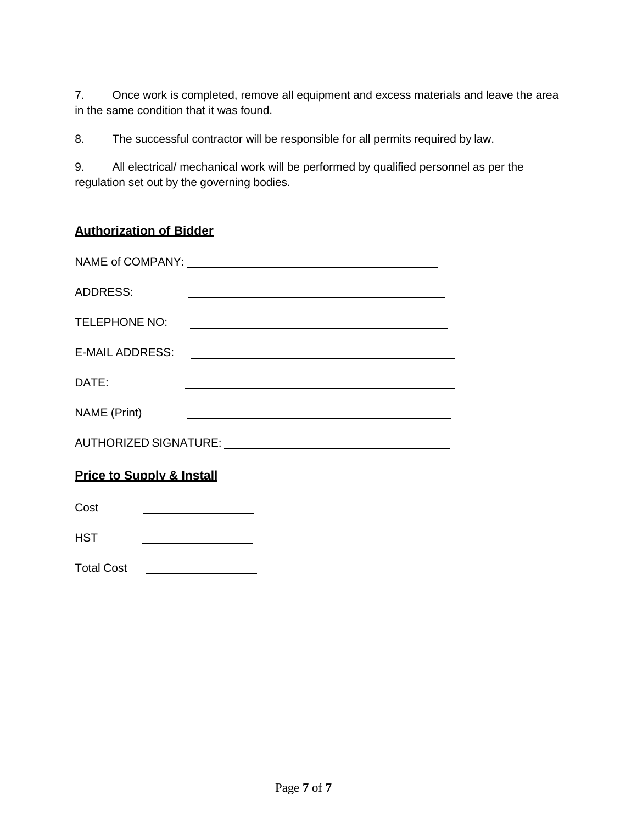7. Once work is completed, remove all equipment and excess materials and leave the area in the same condition that it was found.

8. The successful contractor will be responsible for all permits required by law.

9. All electrical/ mechanical work will be performed by qualified personnel as per the regulation set out by the governing bodies.

# **Authorization of Bidder**

| <b>ADDRESS:</b>                                                                 |                                                                                                                      |
|---------------------------------------------------------------------------------|----------------------------------------------------------------------------------------------------------------------|
| <b>TELEPHONE NO:</b>                                                            |                                                                                                                      |
| <b>E-MAIL ADDRESS:</b>                                                          | <u> 1980 - Jan Samuel Barbara, martin din shekara 1980 - André Samuel Barbara, mashrida a shekara 1980 - André S</u> |
| DATE:                                                                           | <u> 1989 - John Stein, mars and de Brazilian (b. 1989)</u>                                                           |
| NAME (Print)                                                                    |                                                                                                                      |
| AUTHORIZED SIGNATURE: University Processor and Control of AUTHORIZED SIGNATURE: |                                                                                                                      |
| <b>Price to Supply &amp; Install</b>                                            |                                                                                                                      |
| Cost                                                                            |                                                                                                                      |

**HST** 

Total Cost